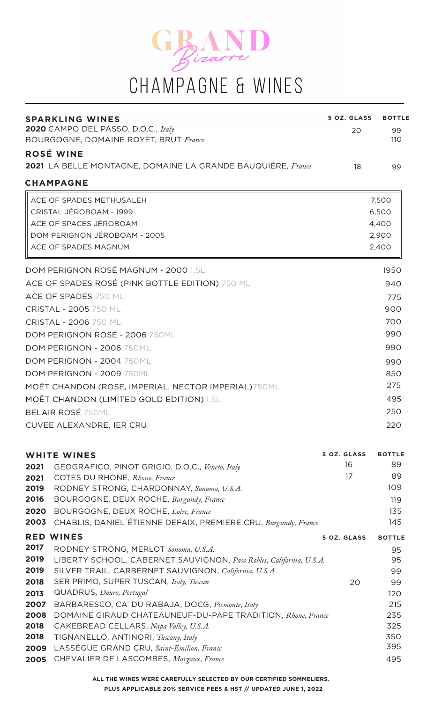

| <b>SPARKLING WINES</b>                                                                                              | 5 OZ. GLASS | <b>BOTTLE</b> |
|---------------------------------------------------------------------------------------------------------------------|-------------|---------------|
| 2020 CAMPO DEL PASSO, D.O.C., Italy                                                                                 | 20          | 99            |
| <b>BOURGOGNE, DOMAINE ROYET, BRUT France</b>                                                                        |             | 110           |
| ROSÉ WINE                                                                                                           |             |               |
| <b>2021</b> LA BELLE MONTAGNE, DOMAINE LA GRANDE BAUQUIÉRE, France                                                  | 18          | 99            |
| <b>CHAMPAGNE</b>                                                                                                    |             |               |
| ACE OF SPADES METHUSALEH                                                                                            |             | 7,500         |
| CRISTAL JÉROBOAM - 1999                                                                                             |             | 6,500         |
| ACE OF SPACES JÉROBOAM                                                                                              |             | 4,400         |
| DOM PERIGNON JÉROBOAM - 2005                                                                                        |             | 2,900         |
| ACE OF SPADES MAGNUM                                                                                                |             | 2,400         |
| DOM PERIGNON ROSÉ MAGNUM - 2000 1.5L                                                                                |             | 1950          |
| ACE OF SPADES ROSÉ (PINK BOTTLE EDITION) 750 ML                                                                     |             | 940           |
| ACE OF SPADES 750 ML                                                                                                |             |               |
| <b>CRISTAL - 2005 750 ML</b>                                                                                        |             | 775<br>900    |
|                                                                                                                     |             | 700           |
| CRISTAL - 2006 750 ML<br>DOM PERIGNON ROSÉ - 2006 750ML                                                             |             | 990           |
| DOM PERIGNON - 2006 750ML                                                                                           |             | 990           |
|                                                                                                                     |             |               |
| DOM PERIGNON - 2004 750ML                                                                                           |             | 990           |
| DOM PERIGNON - 2009 750ML                                                                                           |             | 850<br>275    |
| MOËT CHANDON (ROSE, IMPERIAL, NECTOR IMPERIAL) 750ML                                                                |             |               |
| MOËT CHANDON (LIMITED GOLD EDITION) 1.5L                                                                            |             | 495           |
| <b>BELAIR ROSÉ 750ML</b>                                                                                            |             | 250           |
| CUVEE ALEXANDRE, 1ER CRU                                                                                            |             | 220           |
| <b>WHITE WINES</b>                                                                                                  | 5 OZ. GLASS | <b>BOTTLE</b> |
| 2021<br>GEOGRAFICO, PINOT GRIGIO, D.O.C., Veneto, Italy                                                             | 16          | 89            |
| COTES DU RHONE, Rhone, France<br>2021                                                                               | 17          | 89            |
| 2019<br>RODNEY STRONG, CHARDONNAY, Sonoma, U.S.A.                                                                   |             | 109           |
| 2016<br>BOURGOGNE, DEUX ROCHE, Burgundy, France                                                                     |             | 119           |
| 2020<br>BOURGOGNE, DEUX ROCHE, Loire, France<br>2003                                                                |             | 135<br>145    |
| CHABLIS, DANIEL ÉTIENNE DEFAIX, PREMIERE CRU, Burgundy, France                                                      |             |               |
| <b>RED WINES</b><br>2017                                                                                            | 5 OZ. GLASS | <b>BOTTLE</b> |
| RODNEY STRONG, MERLOT Sonoma, U.S.A.<br>2019<br>LIBERTY SCHOOL, CABERNET SAUVIGNON, Paso Robles, California, U.S.A. |             | 95<br>95      |
| 2019<br>SILVER TRAIL, CARBERNET SAUVIGNON, California, U.S.A.                                                       |             | 99            |
| 2018<br>SER PRIMO, SUPER TUSCAN, Italy, Tuscan                                                                      | 20          | 99            |
| QUADRUS, Douro, Portugal<br>2013                                                                                    |             | 120           |
| BARBARESCO, CA' DU RABAJA, DOCG, Piemonte, Italy<br>2007                                                            |             | 215           |
| DOMAINE GIRAUD CHATEAUNEUF-DU-PAPE TRADITION, Rhone, France<br>2008                                                 |             | 235           |
| 2018<br>CAKEBREAD CELLARS, Napa Valley, U.S.A.                                                                      |             | 325           |
| 2018<br>TIGNANELLO, ANTINORI, Tuscany, Italy<br>LASSÉGUE GRAND CRU, Saint-Emilion, France<br>2009                   |             | 350<br>395    |

CHEVALIER DE LASCOMBES, *Margaux, France* **2005**

**ALL THE WINES WERE CAREFULLY SELECTED BY OUR CERTIFIED SOMMELIERS. PLUS APPLICABLE 20% SERVICE FEES & HST // UPDATED JUNE 1, 2022**

495